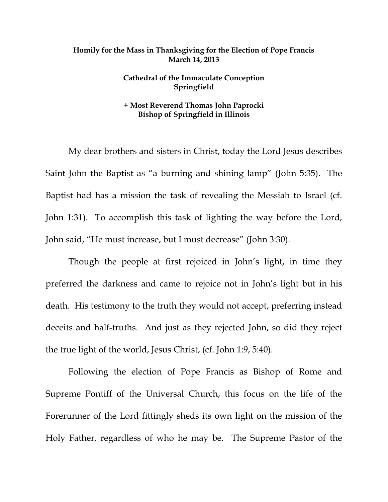## **Homily for the Mass in Thanksgiving for the Election of Pope Francis March 14, 2013**

## **Cathedral of the Immaculate Conception Springfield**

## **+ Most Reverend Thomas John Paprocki Bishop of Springfield in Illinois**

 My dear brothers and sisters in Christ, today the Lord Jesus describes Saint John the Baptist as "a burning and shining lamp" (John 5:35). The Baptist had has a mission the task of revealing the Messiah to Israel (cf. John 1:31). To accomplish this task of lighting the way before the Lord, John said, "He must increase, but I must decrease" (John 3:30).

 Though the people at first rejoiced in John's light, in time they preferred the darkness and came to rejoice not in John's light but in his death. His testimony to the truth they would not accept, preferring instead deceits and half-truths. And just as they rejected John, so did they reject the true light of the world, Jesus Christ, (cf. John 1:9, 5:40).

 Following the election of Pope Francis as Bishop of Rome and Supreme Pontiff of the Universal Church, this focus on the life of the Forerunner of the Lord fittingly sheds its own light on the mission of the Holy Father, regardless of who he may be. The Supreme Pastor of the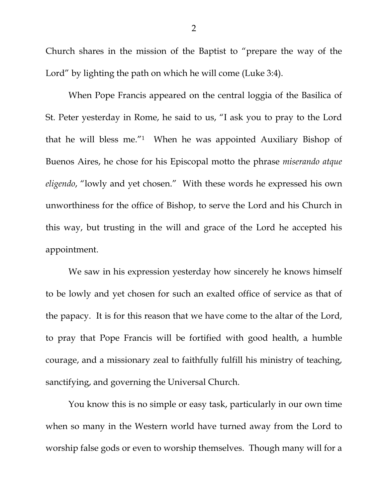Church shares in the mission of the Baptist to "prepare the way of the Lord" by lighting the path on which he will come (Luke 3:4).

 When Pope Francis appeared on the central loggia of the Basilica of St. Peter yesterday in Rome, he said to us, "I ask you to pray to the Lord that he will bless me."1 When he was appointed Auxiliary Bishop of Buenos Aires, he chose for his Episcopal motto the phrase *miserando atque eligendo*, "lowly and yet chosen." With these words he expressed his own unworthiness for the office of Bishop, to serve the Lord and his Church in this way, but trusting in the will and grace of the Lord he accepted his appointment.

 We saw in his expression yesterday how sincerely he knows himself to be lowly and yet chosen for such an exalted office of service as that of the papacy. It is for this reason that we have come to the altar of the Lord, to pray that Pope Francis will be fortified with good health, a humble courage, and a missionary zeal to faithfully fulfill his ministry of teaching, sanctifying, and governing the Universal Church.

 You know this is no simple or easy task, particularly in our own time when so many in the Western world have turned away from the Lord to worship false gods or even to worship themselves. Though many will for a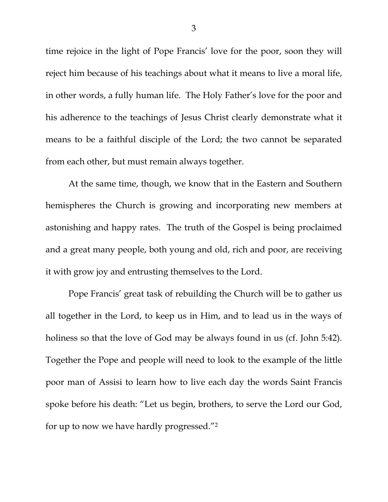time rejoice in the light of Pope Francis' love for the poor, soon they will reject him because of his teachings about what it means to live a moral life, in other words, a fully human life. The Holy Father's love for the poor and his adherence to the teachings of Jesus Christ clearly demonstrate what it means to be a faithful disciple of the Lord; the two cannot be separated from each other, but must remain always together.

 At the same time, though, we know that in the Eastern and Southern hemispheres the Church is growing and incorporating new members at astonishing and happy rates. The truth of the Gospel is being proclaimed and a great many people, both young and old, rich and poor, are receiving it with grow joy and entrusting themselves to the Lord.

 Pope Francis' great task of rebuilding the Church will be to gather us all together in the Lord, to keep us in Him, and to lead us in the ways of holiness so that the love of God may be always found in us (cf. John 5:42). Together the Pope and people will need to look to the example of the little poor man of Assisi to learn how to live each day the words Saint Francis spoke before his death: "Let us begin, brothers, to serve the Lord our God, for up to now we have hardly progressed."2

3